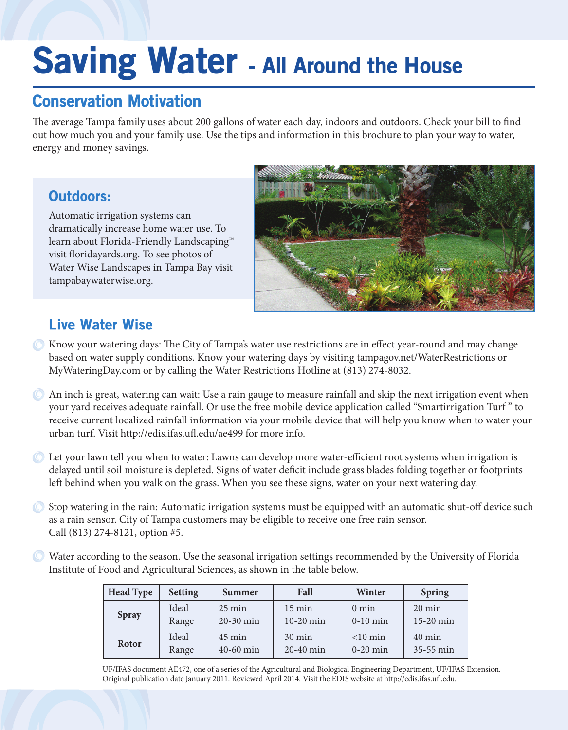# Saving Water - All Around the House

# Conservation Motivation

The average Tampa family uses about 200 gallons of water each day, indoors and outdoors. Check your bill to find out how much you and your family use. Use the tips and information in this brochure to plan your way to water, energy and money savings.

## Outdoors:

Automatic irrigation systems can dramatically increase home water use. To learn about Florida-Friendly Landscaping™ visit foridayards.org. To see photos of Water Wise Landscapes in Tampa Bay visit tampabaywaterwise.org.



# Live Water Wise

- C Know your watering days: The City of Tampa's water use restrictions are in effect year-round and may change based on water supply conditions. Know your watering days by visiting tampagov.net/WaterRestrictions or MyWateringDay.com or by calling the Water Restrictions Hotline at (813) 274-8032.
- An inch is great, watering can wait: Use a rain gauge to measure rainfall and skip the next irrigation event when your yard receives adequate rainfall. Or use the free mobile device application called "Smartirrigation Turf " to receive current localized rainfall information via your mobile device that will help you know when to water your urban turf. Visit http://edis.ifas.uf.edu/ae499 for more info.
- $\bullet$  Let your lawn tell you when to water: Lawns can develop more water-efficient root systems when irrigation is delayed until soil moisture is depleted. Signs of water defcit include grass blades folding together or footprints left behind when you walk on the grass. When you see these signs, water on your next watering day.
- Stop watering in the rain: Automatic irrigation systems must be equipped with an automatic shut-of device such as a rain sensor. City of Tampa customers may be eligible to receive one free rain sensor. Call (813) 274-8121, option #5.
- Water according to the season. Use the seasonal irrigation settings recommended by the University of Florida Institute of Food and Agricultural Sciences, as shown in the table below.

| <b>Head Type</b> | <b>Setting</b> | Summer           | Fall             | Winter          | <b>Spring</b>    |
|------------------|----------------|------------------|------------------|-----------------|------------------|
| <b>Spray</b>     | Ideal          | $25 \text{ min}$ | $15 \text{ min}$ | $0 \text{ min}$ | $20 \text{ min}$ |
|                  | Range          | $20-30$ min      | 10-20 min        | $0-10$ min      | 15-20 min        |
| Rotor            | Ideal          | $45 \text{ min}$ | $30 \text{ min}$ | $<$ 10 min      | $40 \text{ min}$ |
|                  | Range          | $40-60$ min      | 20-40 min        | $0-20$ min      | 35-55 min        |

UF/IFAS document AE472, one of a series of the Agricultural and Biological Engineering Department, UF/IFAS Extension. Original publication date January 2011. Reviewed April 2014. Visit the EDIS website at http://edis.ifas.uf.edu.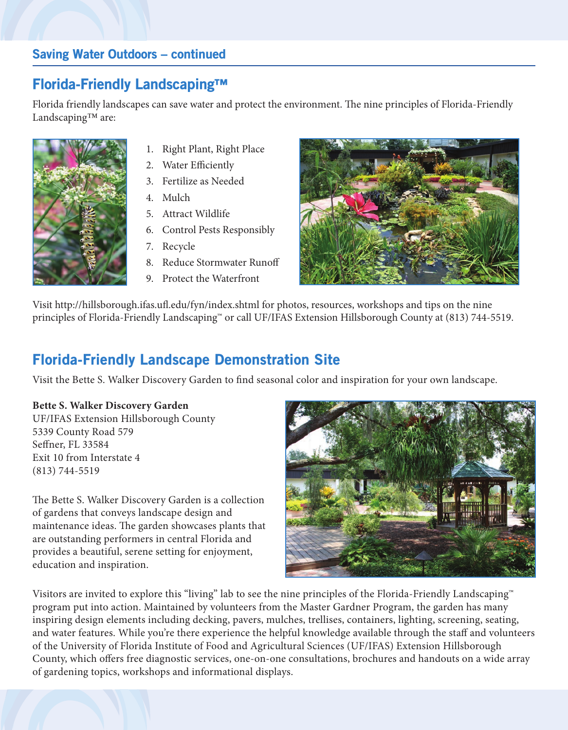#### Saving Water Outdoors – continued

## Florida-Friendly Landscaping™

Florida friendly landscapes can save water and protect the environment. The nine principles of Florida-Friendly Landscaping™ are:



- 1. Right Plant, Right Place
- 2. Water Efficiently
- 3. Fertilize as Needed
- 4. Mulch
- 5. Attract Wildlife
- 6. Control Pests Responsibly
- 7. Recycle
- 8. Reduce Stormwater Runof
- 9. Protect the Waterfront



Visit http://hillsborough.ifas.uf.edu/fyn/index.shtml for photos, resources, workshops and tips on the nine principles of Florida-Friendly Landscaping™ or call UF/IFAS Extension Hillsborough County at (813) 744-5519.

## Florida-Friendly Landscape Demonstration Site

Visit the Bette S. Walker Discovery Garden to fnd seasonal color and inspiration for your own landscape.

#### **Bette S. Walker Discovery Garden**

UF/IFAS Extension Hillsborough County 5339 County Road 579 Sefner, FL 33584 Exit 10 from Interstate 4 (813) 744-5519

The Bette S. Walker Discovery Garden is a collection of gardens that conveys landscape design and maintenance ideas. The garden showcases plants that are outstanding performers in central Florida and provides a beautiful, serene setting for enjoyment, education and inspiration.



Visitors are invited to explore this "living" lab to see the nine principles of the Florida-Friendly Landscaping™ program put into action. Maintained by volunteers from the Master Gardner Program, the garden has many inspiring design elements including decking, pavers, mulches, trellises, containers, lighting, screening, seating, and water features. While you're there experience the helpful knowledge available through the staff and volunteers of the University of Florida Institute of Food and Agricultural Sciences (UF/IFAS) Extension Hillsborough County, which ofers free diagnostic services, one-on-one consultations, brochures and handouts on a wide array of gardening topics, workshops and informational displays.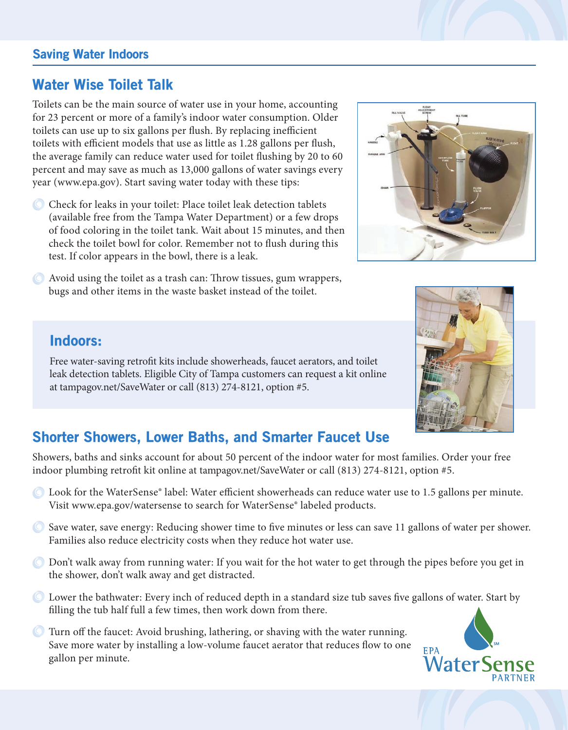#### Saving Water Indoors

## Water Wise Toilet Talk

Toilets can be the main source of water use in your home, accounting for 23 percent or more of a family's indoor water consumption. Older toilets can use up to six gallons per flush. By replacing inefficient toilets with efficient models that use as little as 1.28 gallons per flush, the average family can reduce water used for toilet fushing by 20 to 60 percent and may save as much as 13,000 gallons of water savings every year (www.epa.gov). Start saving water today with these tips:

- C Check for leaks in your toilet: Place toilet leak detection tablets (available free from the Tampa Water Department) or a few drops of food coloring in the toilet tank. Wait about 15 minutes, and then check the toilet bowl for color. Remember not to fush during this test. If color appears in the bowl, there is a leak.
- $\bullet$  Avoid using the toilet as a trash can: Throw tissues, gum wrappers, bugs and other items in the waste basket instead of the toilet.



#### Indoors:

Free water-saving retroft kits include showerheads, faucet aerators, and toilet leak detection tablets. Eligible City of Tampa customers can request a kit online at tampagov.net/SaveWater or call (813) 274-8121, option #5.



# Shorter Showers, Lower Baths, and Smarter Faucet Use

Showers, baths and sinks account for about 50 percent of the indoor water for most families. Order your free indoor plumbing retroft kit online at tampagov.net/SaveWater or call (813) 274-8121, option #5.

- C Look for the WaterSense® label: Water efficient showerheads can reduce water use to 1.5 gallons per minute. Visit www.epa.gov/watersense to search for WaterSense® labeled products.
- Save water, save energy: Reducing shower time to fve minutes or less can save 11 gallons of water per shower. Families also reduce electricity costs when they reduce hot water use.
- Don't walk away from running water: If you wait for the hot water to get through the pipes before you get in the shower, don't walk away and get distracted.
- Lower the bathwater: Every inch of reduced depth in a standard size tub saves fve gallons of water. Start by flling the tub half full a few times, then work down from there.
- Turn of the faucet: Avoid brushing, lathering, or shaving with the water running. Save more water by installing a low-volume faucet aerator that reduces flow to one gallon per minute.